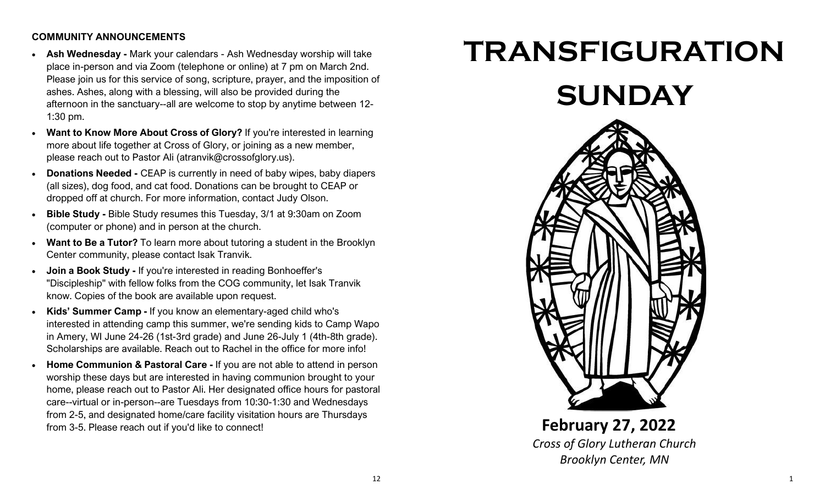# **COMMUNITY ANNOUNCEMENTS**

- **Ash Wednesday -** Mark your calendars Ash Wednesday worship will take place in-person and via Zoom (telephone or online) at 7 pm on March 2nd. Please join us for this service of song, scripture, prayer, and the imposition of ashes. Ashes, along with a blessing, will also be provided during the afternoon in the sanctuary--all are welcome to stop by anytime between 12- 1:30 pm.
- **Want to Know More About Cross of Glory?** If you're interested in learning more about life together at Cross of Glory, or joining as a new member, please reach out to Pastor Ali (atranvik@crossofglory.us).
- **Donations Needed -** CEAP is currently in need of baby wipes, baby diapers (all sizes), dog food, and cat food. Donations can be brought to CEAP or dropped off at church. For more information, contact Judy Olson.
- **Bible Study -** Bible Study resumes this Tuesday, 3/1 at 9:30am on Zoom (computer or phone) and in person at the church.
- **Want to Be a Tutor?** To learn more about tutoring a student in the Brooklyn Center community, please contact Isak Tranvik.
- **Join a Book Study -** If you're interested in reading Bonhoeffer's "Discipleship" with fellow folks from the COG community, let Isak Tranvik know. Copies of the book are available upon request.
- **Kids' Summer Camp -** If you know an elementary-aged child who's interested in attending camp this summer, we're sending kids to Camp Wapo in Amery, WI June 24-26 (1st-3rd grade) and June 26-July 1 (4th-8th grade). Scholarships are available. Reach out to Rachel in the office for more info!
- **Home Communion & Pastoral Care -** If you are not able to attend in person worship these days but are interested in having communion brought to your home, please reach out to Pastor Ali. Her designated office hours for pastoral care--virtual or in-person--are Tuesdays from 10:30-1:30 and Wednesdays from 2-5, and designated home/care facility visitation hours are Thursdays from 3-5. Please reach out if you'd like to connect!

# **TRANSFIGURATION**





**February 27, 2022** *Cross of Glory Lutheran Church Brooklyn Center, MN*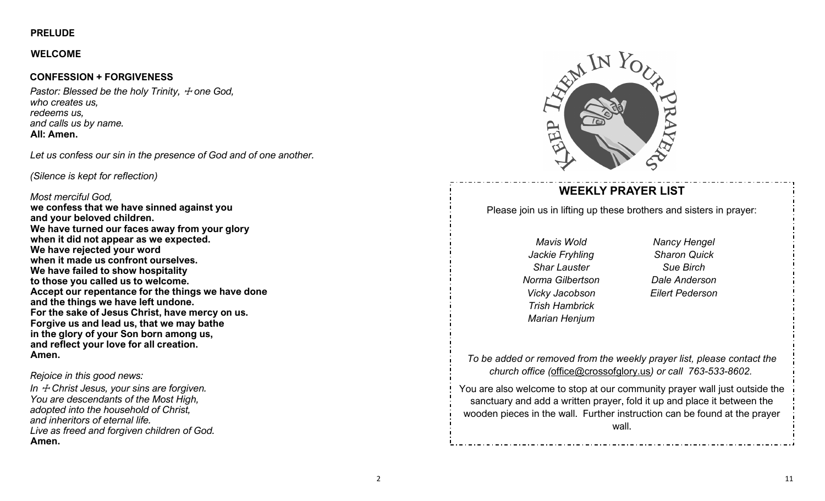# **PRELUDE**

# **WELCOME**

# **CONFESSION + FORGIVENESS**

*Pastor: Blessed be the holy Trinity,*  $\pm$  *one God, who creates us, redeems us, and calls us by name.* **All: Amen.**

*Let us confess our sin in the presence of God and of one another.*

*(Silence is kept for reflection)*

#### *Most merciful God,*

**we confess that we have sinned against you and your beloved children. We have turned our faces away from your glory when it did not appear as we expected. We have rejected your word when it made us confront ourselves. We have failed to show hospitality to those you called us to welcome. Accept our repentance for the things we have done and the things we have left undone. For the sake of Jesus Christ, have mercy on us. Forgive us and lead us, that we may bathe in the glory of your Son born among us, and reflect your love for all creation. Amen.**

*Rejoice in this good news:*

*In*  $#$  *Christ Jesus, your sins are forgiven. You are descendants of the Most High, adopted into the household of Christ, and inheritors of eternal life. Live as freed and forgiven children of God.* **Amen.**



# **WEEKLY PRAYER LIST**

Please join us in lifting up these brothers and sisters in prayer:

*Mavis Wold Jackie Fryhling Shar Lauster Norma Gilbertson Vicky Jacobson Trish Hambrick Marian Henjum*

*Nancy Hengel Sharon Quick Sue Birch Dale Anderson Eilert Pederson*

*To be added or removed from the weekly prayer list, please contact the church office (*[office@crossofglory.us](mailto:office@crossofglory.us)*) or call 763-533-8602.*

You are also welcome to stop at our community prayer wall just outside the sanctuary and add a written prayer, fold it up and place it between the wooden pieces in the wall. Further instruction can be found at the prayer wall.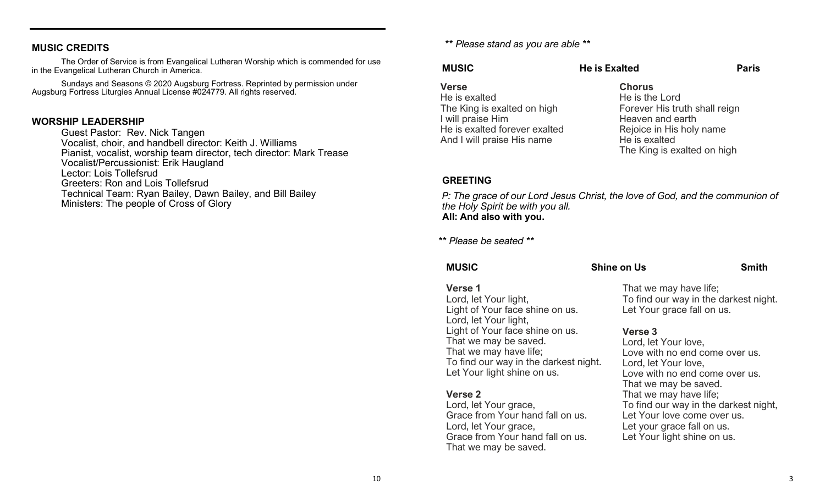#### **MUSIC CREDITS**

The Order of Service is from Evangelical Lutheran Worship which is commended for use in the Evangelical Lutheran Church in America.

Sundays and Seasons © 2020 Augsburg Fortress. Reprinted by permission under Augsburg Fortress Liturgies Annual License #024779. All rights reserved.

#### **WORSHIP LEADERSHIP**

Guest Pastor: Rev. Nick Tangen Vocalist, choir, and handbell director: Keith J. Williams Pianist, vocalist, worship team director, tech director: Mark Trease Vocalist/Percussionist: Erik Haugland Lector: Lois Tollefsrud Greeters: Ron and Lois Tollefsrud Technical Team: Ryan Bailey, Dawn Bailey, and Bill Bailey Ministers: The people of Cross of Glory

#### *\*\* Please stand as you are able \*\**

| <b>MUSIC</b> | <b>He is Exalted</b> | <b>Paris</b> |
|--------------|----------------------|--------------|
| <b>Verse</b> | <b>Chorus</b>        |              |

He is exalted The King is exalted on high I will praise Him He is exalted forever exalted And I will praise His name

#### He is the Lord Forever His truth shall reign Heaven and earth Rejoice in His holy name He is exalted The King is exalted on high

#### **GREETING**

*P: The grace of our Lord Jesus Christ, the love of God, and the communion of the Holy Spirit be with you all.*  **All: And also with you.**

*\*\* Please be seated \*\**

#### **MUSIC Shine on Us Smith**

#### **Verse 1**

Lord, let Your light, Light of Your face shine on us. Lord, let Your light, Light of Your face shine on us. That we may be saved. That we may have life; To find our way in the darkest night. Let Your light shine on us.

#### **Verse 2**

Lord, let Your grace, Grace from Your hand fall on us. Lord, let Your grace, Grace from Your hand fall on us. That we may be saved.

That we may have life; To find our way in the darkest night. Let Your grace fall on us.

#### **Verse 3**

Lord, let Your love, Love with no end come over us. Lord, let Your love, Love with no end come over us. That we may be saved. That we may have life; To find our way in the darkest night, Let Your love come over us. Let your grace fall on us. Let Your light shine on us.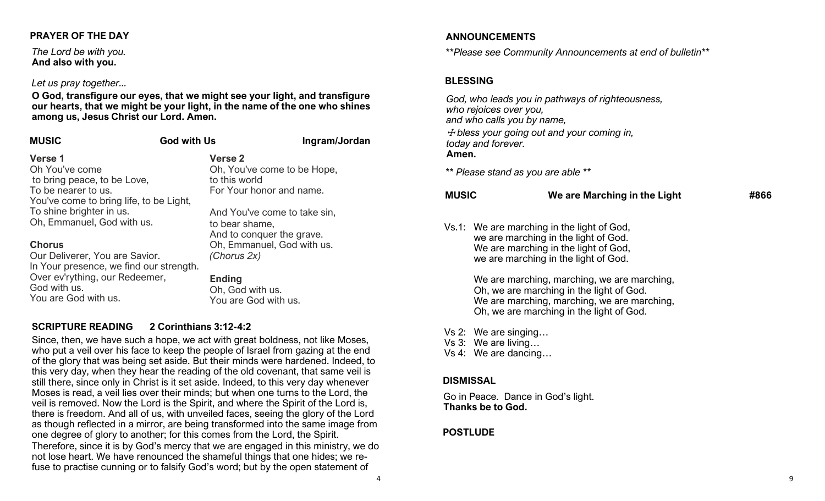### **PRAYER OF THE DAY**

*The Lord be with you.*  **And also with you.**

### *Let us pray together...*

**O God, transfigure our eyes, that we might see your light, and transfigure our hearts, that we might be your light, in the name of the one who shines among us, Jesus Christ our Lord. Amen.**

| <b>MUSIC</b>   |  |
|----------------|--|
| <b>Verse 1</b> |  |

#### God with Us **Ingram/Jordan**

#### **Verse 1**

Oh You've come to bring peace, to be Love, To be nearer to us. You've come to bring life, to be Light, To shine brighter in us.

Oh, Emmanuel, God with us.

### **Chorus**

Our Deliverer, You are Savior. In Your presence, we find our strength. Over ev'rything, our Redeemer, God with us. You are God with us.

**Verse 2** Oh, You've come to be Hope, to this world For Your honor and name.

And You've come to take sin, to bear shame, And to conquer the grave. Oh, Emmanuel, God with us. *(Chorus 2x)*

# **Ending**

Oh, God with us. You are God with us.

# **SCRIPTURE READING 2 Corinthians 3:12-4:2**

Since, then, we have such a hope, we act with great boldness, not like Moses, who put a veil over his face to keep the people of Israel from gazing at the end of the glory that was being set aside. But their minds were hardened. Indeed, to this very day, when they hear the reading of the old covenant, that same veil is still there, since only in Christ is it set aside. Indeed, to this very day whenever Moses is read, a veil lies over their minds; but when one turns to the Lord, the veil is removed. Now the Lord is the Spirit, and where the Spirit of the Lord is, there is freedom. And all of us, with unveiled faces, seeing the glory of the Lord as though reflected in a mirror, are being transformed into the same image from one degree of glory to another; for this comes from the Lord, the Spirit. Therefore, since it is by God's mercy that we are engaged in this ministry, we do not lose heart. We have renounced the shameful things that one hides; we refuse to practise cunning or to falsify God's word; but by the open statement of

# **ANNOUNCEMENTS**

*\*\*Please see Community Announcements at end of bulletin\*\**

# **BLESSING**

*God, who leads you in pathways of righteousness, who rejoices over you, and who calls you by name,* ☩ *bless your going out and your coming in, today and forever.* **Amen.**

*\*\* Please stand as you are able \*\**

### **MUSIC We are Marching in the Light #866**

Vs.1: We are marching in the light of God, we are marching in the light of God. We are marching in the light of God, we are marching in the light of God.

> We are marching, marching, we are marching, Oh, we are marching in the light of God. We are marching, marching, we are marching, Oh, we are marching in the light of God.

Vs 2: We are singing…

Vs 3: We are living…

Vs 4: We are dancing…

# **DISMISSAL**

Go in Peace. Dance in God's light. **Thanks be to God.**

# **POSTLUDE**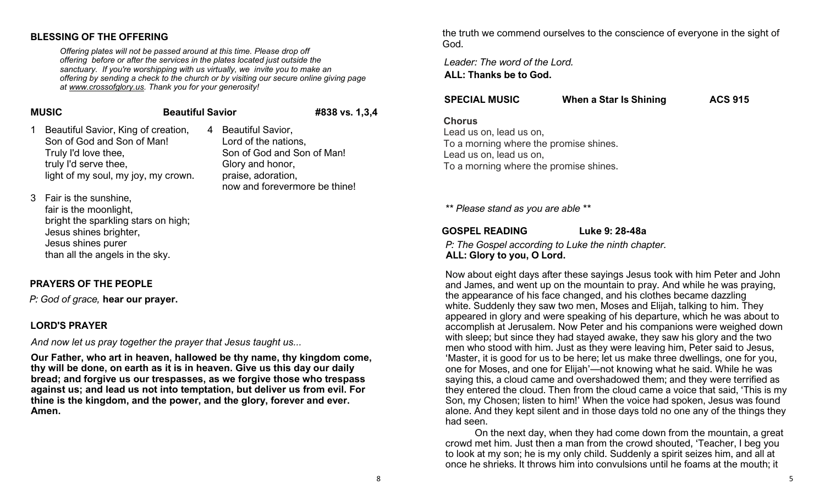#### **BLESSING OF THE OFFERING**

*Offering plates will not be passed around at this time. Please drop off offering before or after the services in the plates located just outside the sanctuary. If you're worshipping with us virtually, we invite you to make an offering by sending a check to the church or by visiting our secure online giving page at [www.crossofglory.us.](http://www.crossofglory.us/) Thank you for your generosity!*

#### **MUSIC Beautiful Savior #838 vs. 1,3,4**

Beautiful Savior, King of creation, Son of God and Son of Man! Truly I'd love thee, truly I'd serve thee, light of my soul, my joy, my crown. 4 Beautiful Savior, Lord of the nations, Son of God and Son of Man! Glory and honor, praise, adoration, now and forevermore be thine!

3 Fair is the sunshine, fair is the moonlight, bright the sparkling stars on high; Jesus shines brighter, Jesus shines purer than all the angels in the sky.

# **PRAYERS OF THE PEOPLE**

*P: God of grace,* **hear our prayer.**

# **LORD'S PRAYER**

*And now let us pray together the prayer that Jesus taught us...* 

**Our Father, who art in heaven, hallowed be thy name, thy kingdom come, thy will be done, on earth as it is in heaven. Give us this day our daily bread; and forgive us our trespasses, as we forgive those who trespass against us; and lead us not into temptation, but deliver us from evil. For thine is the kingdom, and the power, and the glory, forever and ever. Amen.**

the truth we commend ourselves to the conscience of everyone in the sight of God.

*Leader: The word of the Lord.* **ALL: Thanks be to God.**

# **SPECIAL MUSIC When a Star Is Shining ACS 915**

**Chorus**

Lead us on, lead us on, To a morning where the promise shines. Lead us on, lead us on, To a morning where the promise shines.

- *\*\* Please stand as you are able \*\**
- **GOSPEL READING Luke 9: 28-48a**

*P: The Gospel according to Luke the ninth chapter.*  **ALL: Glory to you, O Lord.**

Now about eight days after these sayings Jesus took with him Peter and John and James, and went up on the mountain to pray. And while he was praying, the appearance of his face changed, and his clothes became dazzling white. Suddenly they saw two men, Moses and Elijah, talking to him. They appeared in glory and were speaking of his departure, which he was about to accomplish at Jerusalem. Now Peter and his companions were weighed down with sleep; but since they had stayed awake, they saw his glory and the two men who stood with him. Just as they were leaving him, Peter said to Jesus, 'Master, it is good for us to be here; let us make three dwellings, one for you, one for Moses, and one for Elijah'—not knowing what he said. While he was saying this, a cloud came and overshadowed them; and they were terrified as they entered the cloud. Then from the cloud came a voice that said, 'This is my Son, my Chosen; listen to him!' When the voice had spoken, Jesus was found alone. And they kept silent and in those days told no one any of the things they had seen.

On the next day, when they had come down from the mountain, a great crowd met him. Just then a man from the crowd shouted, 'Teacher, I beg you to look at my son; he is my only child. Suddenly a spirit seizes him, and all at once he shrieks. It throws him into convulsions until he foams at the mouth; it